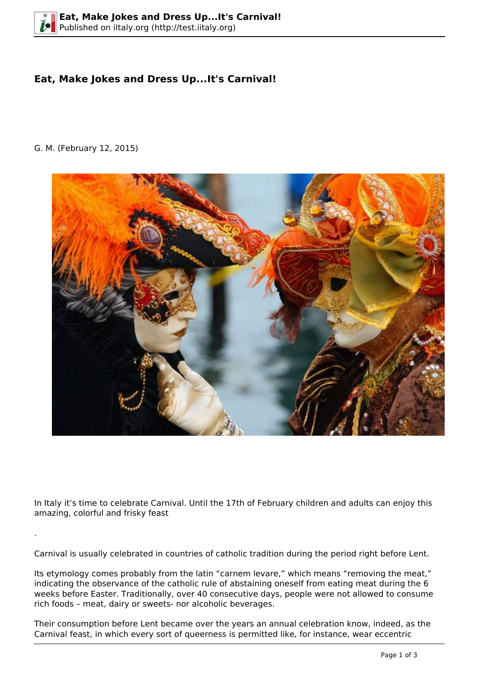## **Eat, Make Jokes and Dress Up...It's Carnival!**

G. M. (February 12, 2015)

.



In Italy it's time to celebrate Carnival. Until the 17th of February children and adults can enjoy this amazing, colorful and frisky feast

Carnival is usually celebrated in countries of catholic tradition during the period right before Lent.

Its etymology comes probably from the latin "carnem levare," which means "removing the meat," indicating the observance of the catholic rule of abstaining oneself from eating meat during the 6 weeks before Easter. Traditionally, over 40 consecutive days, people were not allowed to consume rich foods – meat, dairy or sweets- nor alcoholic beverages.

Their consumption before Lent became over the years an annual celebration know, indeed, as the Carnival feast, in which every sort of queerness is permitted like, for instance, wear eccentric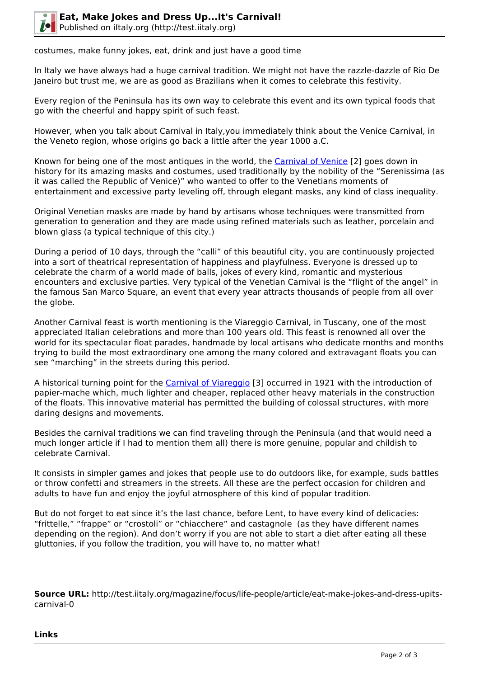

costumes, make funny jokes, eat, drink and just have a good time

In Italy we have always had a huge carnival tradition. We might not have the razzle-dazzle of Rio De Janeiro but trust me, we are as good as Brazilians when it comes to celebrate this festivity.

Every region of the Peninsula has its own way to celebrate this event and its own typical foods that go with the cheerful and happy spirit of such feast.

However, when you talk about Carnival in Italy,you immediately think about the Venice Carnival, in the Veneto region, whose origins go back a little after the year 1000 a.C.

Known for being one of the most antiques in the world, the [Carnival of Venice](http://en.wikipedia.org/wiki/Carnival_of_Venice) [2] goes down in history for its amazing masks and costumes, used traditionally by the nobility of the "Serenissima (as it was called the Republic of Venice)" who wanted to offer to the Venetians moments of entertainment and excessive party leveling off, through elegant masks, any kind of class inequality.

Original Venetian masks are made by hand by artisans whose techniques were transmitted from generation to generation and they are made using refined materials such as leather, porcelain and blown glass (a typical technique of this city.)

During a period of 10 days, through the "calli" of this beautiful city, you are continuously projected into a sort of theatrical representation of happiness and playfulness. Everyone is dressed up to celebrate the charm of a world made of balls, jokes of every kind, romantic and mysterious encounters and exclusive parties. Very typical of the Venetian Carnival is the "flight of the angel" in the famous San Marco Square, an event that every year attracts thousands of people from all over the globe.

Another Carnival feast is worth mentioning is the Viareggio Carnival, in Tuscany, one of the most appreciated Italian celebrations and more than 100 years old. This feast is renowned all over the world for its spectacular float parades, handmade by local artisans who dedicate months and months trying to build the most extraordinary one among the many colored and extravagant floats you can see "marching" in the streets during this period.

A historical turning point for the [Carnival of Viareggio](http://en.wikipedia.org/wiki/Carnival_of_Viareggio) [3] occurred in 1921 with the introduction of papier-mache which, much lighter and cheaper, replaced other heavy materials in the construction of the floats. This innovative material has permitted the building of colossal structures, with more daring designs and movements.

Besides the carnival traditions we can find traveling through the Peninsula (and that would need a much longer article if I had to mention them all) there is more genuine, popular and childish to celebrate Carnival.

It consists in simpler games and jokes that people use to do outdoors like, for example, suds battles or throw confetti and streamers in the streets. All these are the perfect occasion for children and adults to have fun and enjoy the joyful atmosphere of this kind of popular tradition.

But do not forget to eat since it's the last chance, before Lent, to have every kind of delicacies: "frittelle," "frappe" or "crostoli" or "chiacchere" and castagnole (as they have different names depending on the region). And don't worry if you are not able to start a diet after eating all these gluttonies, if you follow the tradition, you will have to, no matter what!

**Source URL:** http://test.iitaly.org/magazine/focus/life-people/article/eat-make-jokes-and-dress-upitscarnival-0

**Links**